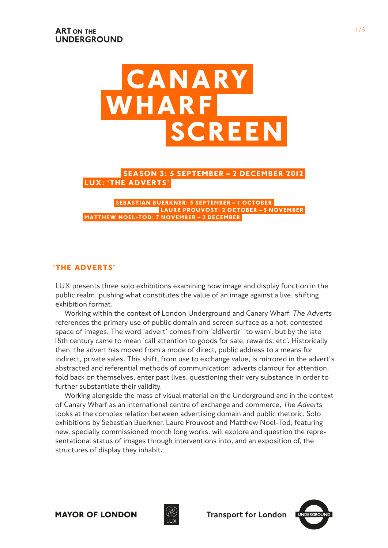

**LUX: 'THE ADVERTS' SEASON 3: 5 SEPTEMBER – 2 December 2012**

**Matthew Noel-Tod: 7 November – 2 december Laure Prouvost: 2 October – 5 November Sebastian Buerkner: 5 September – 1 October**

# **'The Adverts'**

LUX presents three solo exhibitions examining how image and display function in the public realm, pushing what constitutes the value of an image against a live, shifting exhibition format.

Working within the context of London Underground and Canary Wharf, *The Adverts* references the primary use of public domain and screen surface as a hot, contested space of images. The word 'advert' comes from 'a(d)vertir' 'to warn', but by the late 18th century came to mean 'call attention to goods for sale, rewards, etc'. Historically then, the advert has moved from a mode of direct, public address to a means for indirect, private sales. This shift, from use to exchange value, is mirrored in the advert's abstracted and referential methods of communication; adverts clamour for attention, fold back on themselves, enter past lives, questioning their very substance in order to further substantiate their validity.

Working alongside the mass of visual material on the Underground and in the context of Canary Wharf as an international centre of exchange and commerce, *The Adverts* looks at the complex relation between advertising domain and public rhetoric. Solo exhibitions by Sebastian Buerkner, Laure Prouvost and Matthew Noel-Tod, featuring new, specially commissioned month long works, will explore and question the representational status of images through interventions into, and an exposition of, the structures of display they inhabit.



**Transport for London** 

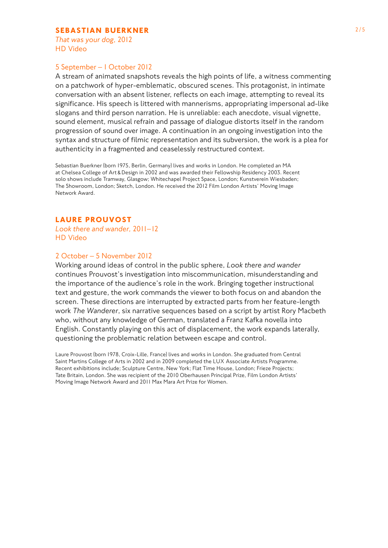## **SEBASTIAN BUERKNER** 2/5

 *That was your dog*, 2012 HD Video

#### 5 September – 1 October 2012

A stream of animated snapshots reveals the high points of life, a witness commenting on a patchwork of hyper-emblematic, obscured scenes. This protagonist, in intimate conversation with an absent listener, reflects on each image, attempting to reveal its significance. His speech is littered with mannerisms, appropriating impersonal ad-like slogans and third person narration. He is unreliable: each anecdote, visual vignette, sound element, musical refrain and passage of dialogue distorts itself in the random progression of sound over image. A continuation in an ongoing investigation into the syntax and structure of filmic representation and its subversion, the work is a plea for authenticity in a fragmented and ceaselessly restructured context.

Sebastian Buerkner (born 1975, Berlin, Germany) lives and works in London. He completed an MA at Chelsea College of Art & Design in 2002 and was awarded their Fellowship Residency 2003. Recent solo shows include Tramway, Glasgow; Whitechapel Project Space, London; Kunstverein Wiesbaden; The Showroom, London; Sketch, London. He received the 2012 Film London Artists' Moving Image Network Award.

## **Laure Prouvost**

*Look there and wander,* 2011–12 HD Video

# 2 October – 5 November 2012

Working around ideas of control in the public sphere, *Look there and wander* continues Prouvost's investigation into miscommunication, misunderstanding and the importance of the audience's role in the work. Bringing together instructional text and gesture, the work commands the viewer to both focus on and abandon the screen. These directions are interrupted by extracted parts from her feature-length work *The Wanderer*, six narrative sequences based on a script by artist Rory Macbeth who, without any knowledge of German, translated a Franz Kafka novella into English. Constantly playing on this act of displacement, the work expands laterally, questioning the problematic relation between escape and control.

Laure Prouvost (born 1978, Croix-Lille, France) lives and works in London. She graduated from Central Saint Martins College of Arts in 2002 and in 2009 completed the LUX Associate Artists Programme. Recent exhibitions include; Sculpture Centre, New York; Flat Time House, London; Frieze Projects; Tate Britain, London. She was recipient of the 2010 Oberhausen Principal Prize, Film London Artists' Moving Image Network Award and 2011 Max Mara Art Prize for Women.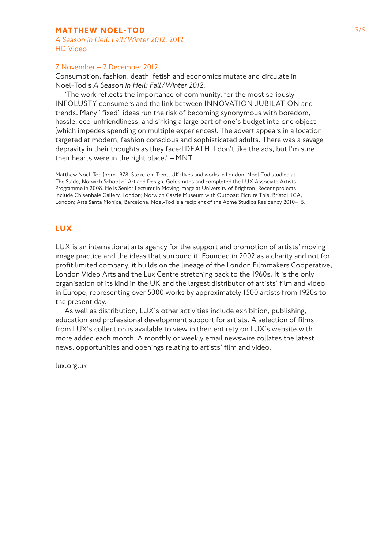# **MATTHEW NOEL-TOD** 3/5

*A Season in Hell: Fall/ Winter 2012*, 2012 HD Video

#### 7 November – 2 December 2012

Consumption, fashion, death, fetish and economics mutate and circulate in Noel-Tod's *A Season in Hell: Fall/ Winter 2012*.

'The work reflects the importance of community, for the most seriously INFOLUSTY consumers and the link between INNOVATION JUBILATION and trends. Many "fixed" ideas run the risk of becoming synonymous with boredom, hassle, eco-unfriendliness, and sinking a large part of one's budget into one object (which impedes spending on multiple experiences). The advert appears in a location targeted at modern, fashion conscious and sophisticated adults. There was a savage depravity in their thoughts as they faced DEATH. I don't like the ads, but I'm sure their hearts were in the right place.' – MNT

Matthew Noel-Tod (born 1978, Stoke-on-Trent, UK) lives and works in London. Noel-Tod studied at The Slade, Norwich School of Art and Design, Goldsmiths and completed the LUX Associate Artists Programme in 2008. He is Senior Lecturer in Moving Image at University of Brighton. Recent projects include Chisenhale Gallery, London; Norwich Castle Museum with Outpost; Picture This, Bristol; ICA, London; Arts Santa Monica, Barcelona. Noel-Tod is a recipient of the Acme Studios Residency 2010–15.

## **LUX**

LUX is an international arts agency for the support and promotion of artists' moving image practice and the ideas that surround it. Founded in 2002 as a charity and not for profit limited company, it builds on the lineage of the London Filmmakers Cooperative, London Video Arts and the Lux Centre stretching back to the 1960s. It is the only organisation of its kind in the UK and the largest distributor of artists' film and video in Europe, representing over 5000 works by approximately 1500 artists from 1920s to the present day.

As well as distribution, LUX's other activities include exhibition, publishing, education and professional development support for artists. A selection of films from LUX's collection is available to view in their entirety on LUX's website with more added each month. A monthly or weekly email newswire collates the latest news, opportunities and openings relating to artists' film and video.

lux.org.uk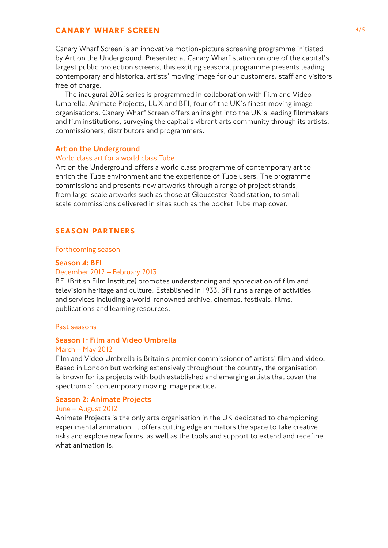# **CANARY WHARF SCREEN** 4/5

Canary Wharf Screen is an innovative motion-picture screening programme initiated by Art on the Underground. Presented at Canary Wharf station on one of the capital's largest public projection screens, this exciting seasonal programme presents leading contemporary and historical artists' moving image for our customers, staff and visitors free of charge.

The inaugural 2012 series is programmed in collaboration with Film and Video Umbrella, Animate Projects, LUX and BFI, four of the UK's finest moving image organisations. Canary Wharf Screen offers an insight into the UK's leading filmmakers and film institutions, surveying the capital's vibrant arts community through its artists, commissioners, distributors and programmers.

#### Art on the Underground

#### World class art for a world class Tube

Art on the Underground offers a world class programme of contemporary art to enrich the Tube environment and the experience of Tube users. The programme commissions and presents new artworks through a range of project strands, from large-scale artworks such as those at Gloucester Road station, to smallscale commissions delivered in sites such as the pocket Tube map cover.

# **SEASON PARTNERS**

#### Forthcoming season

#### Season 4: BFI

#### December 2012 – February 2013

BFI (British Film Institute) promotes understanding and appreciation of film and television heritage and culture. Established in 1933, BFI runs a range of activities and services including a world-renowned archive, cinemas, festivals, films, publications and learning resources.

#### Past seasons

# Season 1: Film and Video Umbrella

#### March – May 2012

Film and Video Umbrella is Britain's premier commissioner of artists' film and video. Based in London but working extensively throughout the country, the organisation is known for its projects with both established and emerging artists that cover the spectrum of contemporary moving image practice.

#### Season 2: Animate Projects

### June – August 2012

Animate Projects is the only arts organisation in the UK dedicated to championing experimental animation. It offers cutting edge animators the space to take creative risks and explore new forms, as well as the tools and support to extend and redefine what animation is.